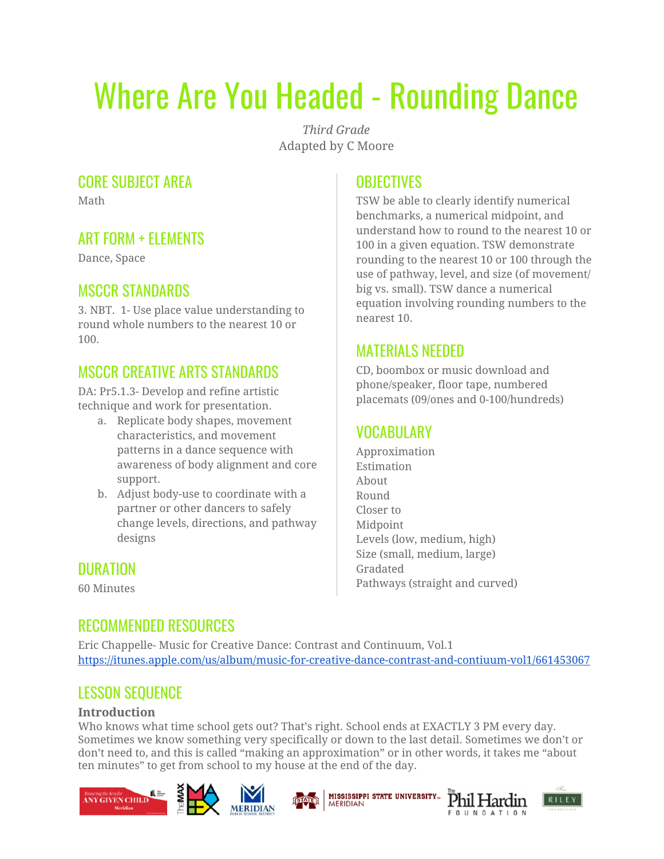# Where Are You Headed - Rounding Dance

*Third Grade* Adapted by C Moore

## CORE SUBJECT AREA

Math

# ART FORM + ELEMENTS

Dance, Space

# MSCCR STANDARDS

3. NBT. 1- Use place value understanding to round whole numbers to the nearest 10 or 100.

# MSCCR CREATIVE ARTS STANDARDS

DA: Pr5.1.3- Develop and refine artistic technique and work for presentation.

- a. Replicate body shapes, movement characteristics, and movement patterns in a dance sequence with awareness of body alignment and core support.
- b. Adjust body-use to coordinate with a partner or other dancers to safely change levels, directions, and pathway designs

# **OBJECTIVES**

TSW be able to clearly identify numerical benchmarks, a numerical midpoint, and understand how to round to the nearest 10 or 100 in a given equation. TSW demonstrate rounding to the nearest 10 or 100 through the use of pathway, level, and size (of movement/ big vs. small). TSW dance a numerical equation involving rounding numbers to the nearest 10.

# MATERIALS NEEDED

CD, boombox or music download and phone/speaker, floor tape, numbered placemats (09/ones and 0-100/hundreds)

# VOCABULARY

Approximation Estimation About Round Closer to Midpoint Levels (low, medium, high) Size (small, medium, large) Gradated Pathways (straight and curved)

## DURATION

60 Minutes

Eric Chappelle- Music for Creative Dance: Contrast and Continuum, Vol.1 <https://itunes.apple.com/us/album/music-for-creative-dance-contrast-and-contiuum-vol1/661453067>

# LESSON SEQUENCE

RECOMMENDED RESOURCES

### **Introduction**

Who knows what time school gets out? That's right. School ends at EXACTLY 3 PM every day. Sometimes we know something very specifically or down to the last detail. Sometimes we don't or don't need to, and this is called "making an approximation" or in other words, it takes me "about ten minutes" to get from school to my house at the end of the day.

**MERIDIAN** 

**MISSISSIPPI STATE UNIVERSITY...** 

RILEY

Phil Hardin

COUNDATION





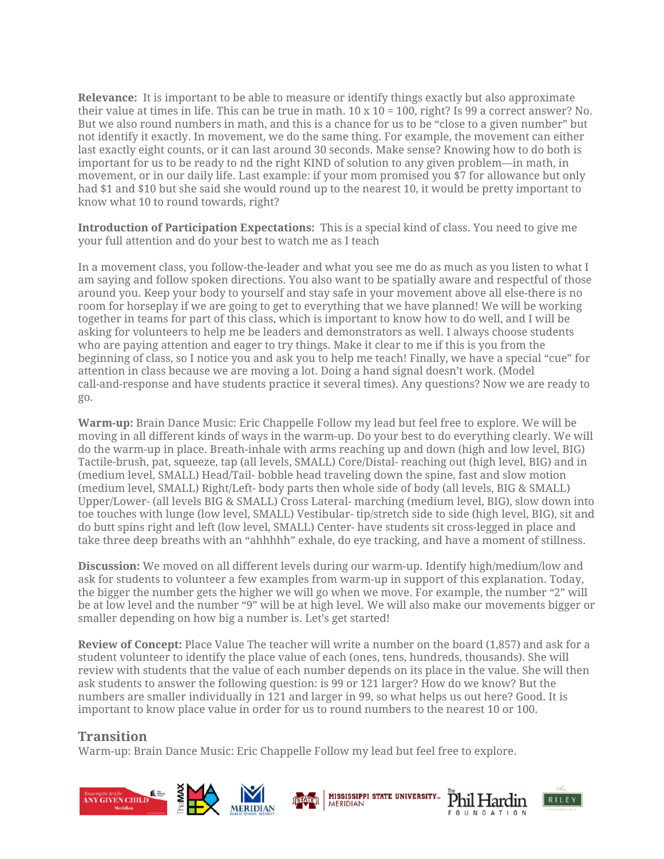**Relevance:** It is important to be able to measure or identify things exactly but also approximate their value at times in life. This can be true in math.  $10 \times 10 = 100$ , right? Is 99 a correct answer? No. But we also round numbers in math, and this is a chance for us to be "close to a given number" but not identify it exactly. In movement, we do the same thing. For example, the movement can either last exactly eight counts, or it can last around 30 seconds. Make sense? Knowing how to do both is important for us to be ready to nd the right KIND of solution to any given problem—in math, in movement, or in our daily life. Last example: if your mom promised you \$7 for allowance but only had \$1 and \$10 but she said she would round up to the nearest 10, it would be pretty important to know what 10 to round towards, right?

**Introduction of Participation Expectations:** This is a special kind of class. You need to give me your full attention and do your best to watch me as I teach

In a movement class, you follow-the-leader and what you see me do as much as you listen to what I am saying and follow spoken directions. You also want to be spatially aware and respectful of those around you. Keep your body to yourself and stay safe in your movement above all else-there is no room for horseplay if we are going to get to everything that we have planned! We will be working together in teams for part of this class, which is important to know how to do well, and I will be asking for volunteers to help me be leaders and demonstrators as well. I always choose students who are paying attention and eager to try things. Make it clear to me if this is you from the beginning of class, so I notice you and ask you to help me teach! Finally, we have a special "cue" for attention in class because we are moving a lot. Doing a hand signal doesn't work. (Model call-and-response and have students practice it several times). Any questions? Now we are ready to go.

**Warm-up:** Brain Dance Music: Eric Chappelle Follow my lead but feel free to explore. We will be moving in all different kinds of ways in the warm-up. Do your best to do everything clearly. We will do the warm-up in place. Breath-inhale with arms reaching up and down (high and low level, BIG) Tactile-brush, pat, squeeze, tap (all levels, SMALL) Core/Distal- reaching out (high level, BIG) and in (medium level, SMALL) Head/Tail- bobble head traveling down the spine, fast and slow motion (medium level, SMALL) Right/Left- body parts then whole side of body (all levels, BIG & SMALL) Upper/Lower- (all levels BIG & SMALL) Cross Lateral- marching (medium level, BIG), slow down into toe touches with lunge (low level, SMALL) Vestibular- tip/stretch side to side (high level, BIG), sit and do butt spins right and left (low level, SMALL) Center- have students sit cross-legged in place and take three deep breaths with an "ahhhhh" exhale, do eye tracking, and have a moment of stillness.

**Discussion:** We moved on all different levels during our warm-up. Identify high/medium/low and ask for students to volunteer a few examples from warm-up in support of this explanation. Today, the bigger the number gets the higher we will go when we move. For example, the number "2" will be at low level and the number "9" will be at high level. We will also make our movements bigger or smaller depending on how big a number is. Let's get started!

**Review of Concept:** Place Value The teacher will write a number on the board (1,857) and ask for a student volunteer to identify the place value of each (ones, tens, hundreds, thousands). She will review with students that the value of each number depends on its place in the value. She will then ask students to answer the following question: is 99 or 121 larger? How do we know? But the numbers are smaller individually in 121 and larger in 99, so what helps us out here? Good. It is important to know place value in order for us to round numbers to the nearest 10 or 100.

### **Transition**

Warm-up: Brain Dance Music: Eric Chappelle Follow my lead but feel free to explore.

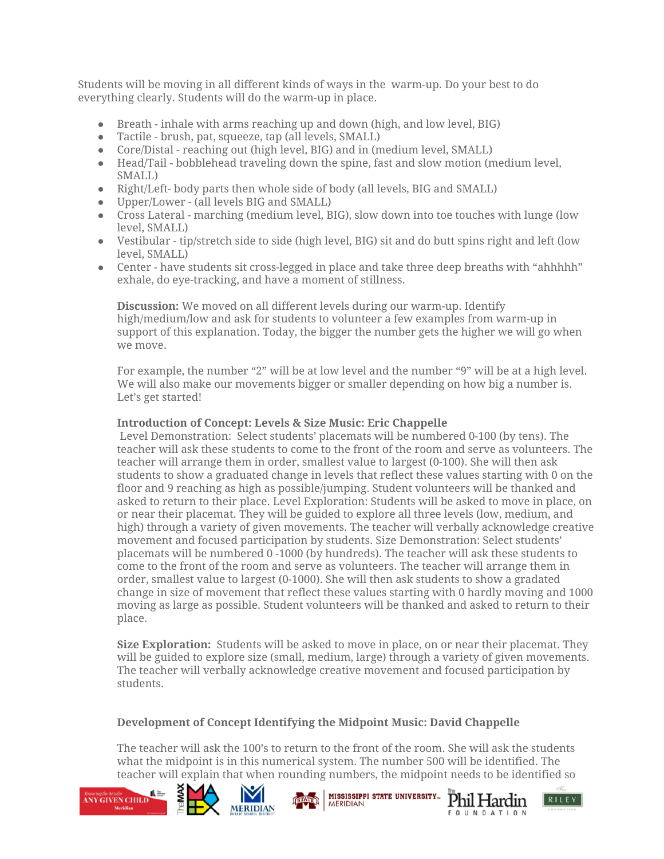Students will be moving in all different kinds of ways in the warm-up. Do your best to do everything clearly. Students will do the warm-up in place.

- Breath inhale with arms reaching up and down (high, and low level, BIG)
- Tactile brush, pat, squeeze, tap (all levels, SMALL)
- Core/Distal reaching out (high level, BIG) and in (medium level, SMALL)
- Head/Tail bobblehead traveling down the spine, fast and slow motion (medium level, SMALL)
- Right/Left- body parts then whole side of body (all levels, BIG and SMALL)
- Upper/Lower (all levels BIG and SMALL)
- Cross Lateral marching (medium level, BIG), slow down into toe touches with lunge (low level, SMALL)
- Vestibular tip/stretch side to side (high level, BIG) sit and do butt spins right and left (low level, SMALL)
- Center have students sit cross-legged in place and take three deep breaths with "ahhhhh" exhale, do eye-tracking, and have a moment of stillness.

**Discussion:** We moved on all different levels during our warm-up. Identify high/medium/low and ask for students to volunteer a few examples from warm-up in support of this explanation. Today, the bigger the number gets the higher we will go when we move.

For example, the number "2" will be at low level and the number "9" will be at a high level. We will also make our movements bigger or smaller depending on how big a number is. Let's get started!

#### **Introduction of Concept: Levels & Size Music: Eric Chappelle**

Level Demonstration: Select students' placemats will be numbered 0-100 (by tens). The teacher will ask these students to come to the front of the room and serve as volunteers. The teacher will arrange them in order, smallest value to largest (0-100). She will then ask students to show a graduated change in levels that reflect these values starting with 0 on the floor and 9 reaching as high as possible/jumping. Student volunteers will be thanked and asked to return to their place. Level Exploration: Students will be asked to move in place, on or near their placemat. They will be guided to explore all three levels (low, medium, and high) through a variety of given movements. The teacher will verbally acknowledge creative movement and focused participation by students. Size Demonstration: Select students' placemats will be numbered 0 -1000 (by hundreds). The teacher will ask these students to come to the front of the room and serve as volunteers. The teacher will arrange them in order, smallest value to largest (0-1000). She will then ask students to show a gradated change in size of movement that reflect these values starting with 0 hardly moving and 1000 moving as large as possible. Student volunteers will be thanked and asked to return to their place.

**Size Exploration:** Students will be asked to move in place, on or near their placemat. They will be guided to explore size (small, medium, large) through a variety of given movements. The teacher will verbally acknowledge creative movement and focused participation by students.

#### **Development of Concept Identifying the Midpoint Music: David Chappelle**

The teacher will ask the 100's to return to the front of the room. She will ask the students what the midpoint is in this numerical system. The number 500 will be identified. The teacher will explain that when rounding numbers, the midpoint needs to be identified so